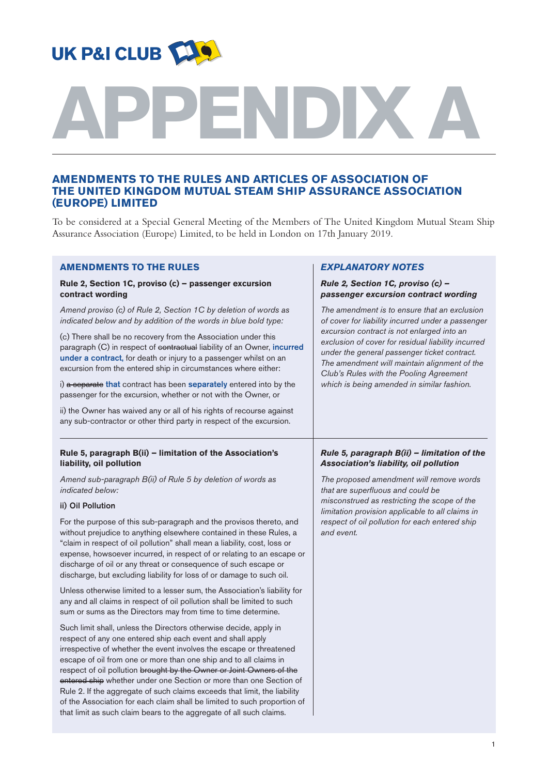

# **APPENDIX A**

# **AMENDMENTS TO THE RULES AND ARTICLES OF ASSOCIATION OF THE UNITED KINGDOM MUTUAL STEAM SHIP ASSURANCE ASSOCIATION (EUROPE) LIMITED**

To be considered at a Special General Meeting of the Members of The United Kingdom Mutual Steam Ship Assurance Association (Europe) Limited, to be held in London on 17th January 2019.

| <b>AMENDMENTS TO THE RULES</b>                                                                                                                                                                                                                                                                                                                                                                                                                                                                                                                                                                                                                            | <b>EXPLANATORY NOTES</b>                                                                                                                                                                                                                                                                                                                                                                       |
|-----------------------------------------------------------------------------------------------------------------------------------------------------------------------------------------------------------------------------------------------------------------------------------------------------------------------------------------------------------------------------------------------------------------------------------------------------------------------------------------------------------------------------------------------------------------------------------------------------------------------------------------------------------|------------------------------------------------------------------------------------------------------------------------------------------------------------------------------------------------------------------------------------------------------------------------------------------------------------------------------------------------------------------------------------------------|
| Rule 2, Section 1C, proviso (c) - passenger excursion<br>contract wording                                                                                                                                                                                                                                                                                                                                                                                                                                                                                                                                                                                 | Rule 2, Section 1C, proviso (c) -<br>passenger excursion contract wording                                                                                                                                                                                                                                                                                                                      |
| Amend proviso (c) of Rule 2, Section 1C by deletion of words as<br>indicated below and by addition of the words in blue bold type:                                                                                                                                                                                                                                                                                                                                                                                                                                                                                                                        | The amendment is to ensure that an exclusion<br>of cover for liability incurred under a passenger<br>excursion contract is not enlarged into an<br>exclusion of cover for residual liability incurred<br>under the general passenger ticket contract.<br>The amendment will maintain alignment of the<br>Club's Rules with the Pooling Agreement<br>which is being amended in similar fashion. |
| (c) There shall be no recovery from the Association under this<br>paragraph (C) in respect of contractual liability of an Owner, incurred<br>under a contract, for death or injury to a passenger whilst on an<br>excursion from the entered ship in circumstances where either:                                                                                                                                                                                                                                                                                                                                                                          |                                                                                                                                                                                                                                                                                                                                                                                                |
| i) a separate that contract has been separately entered into by the<br>passenger for the excursion, whether or not with the Owner, or                                                                                                                                                                                                                                                                                                                                                                                                                                                                                                                     |                                                                                                                                                                                                                                                                                                                                                                                                |
| ii) the Owner has waived any or all of his rights of recourse against<br>any sub-contractor or other third party in respect of the excursion.                                                                                                                                                                                                                                                                                                                                                                                                                                                                                                             |                                                                                                                                                                                                                                                                                                                                                                                                |
| Rule 5, paragraph B(ii) - limitation of the Association's<br>liability, oil pollution                                                                                                                                                                                                                                                                                                                                                                                                                                                                                                                                                                     | Rule 5, paragraph B(ii) - limitation of the<br>Association's liability, oil pollution                                                                                                                                                                                                                                                                                                          |
| Amend sub-paragraph B(ii) of Rule 5 by deletion of words as<br>indicated below:                                                                                                                                                                                                                                                                                                                                                                                                                                                                                                                                                                           | The proposed amendment will remove words<br>that are superfluous and could be                                                                                                                                                                                                                                                                                                                  |
| ii) Oil Pollution                                                                                                                                                                                                                                                                                                                                                                                                                                                                                                                                                                                                                                         | misconstrued as restricting the scope of the<br>limitation provision applicable to all claims in                                                                                                                                                                                                                                                                                               |
| For the purpose of this sub-paragraph and the provisos thereto, and<br>without prejudice to anything elsewhere contained in these Rules, a<br>"claim in respect of oil pollution" shall mean a liability, cost, loss or<br>expense, howsoever incurred, in respect of or relating to an escape or<br>discharge of oil or any threat or consequence of such escape or<br>discharge, but excluding liability for loss of or damage to such oil.                                                                                                                                                                                                             | respect of oil pollution for each entered ship<br>and event.                                                                                                                                                                                                                                                                                                                                   |
| Unless otherwise limited to a lesser sum, the Association's liability for<br>any and all claims in respect of oil pollution shall be limited to such<br>sum or sums as the Directors may from time to time determine.                                                                                                                                                                                                                                                                                                                                                                                                                                     |                                                                                                                                                                                                                                                                                                                                                                                                |
| Such limit shall, unless the Directors otherwise decide, apply in<br>respect of any one entered ship each event and shall apply<br>irrespective of whether the event involves the escape or threatened<br>escape of oil from one or more than one ship and to all claims in<br>respect of oil pollution brought by the Owner or Joint Owners of the<br>entered ship whether under one Section or more than one Section of<br>Rule 2. If the aggregate of such claims exceeds that limit, the liability<br>of the Association for each claim shall be limited to such proportion of<br>that limit as such claim bears to the aggregate of all such claims. |                                                                                                                                                                                                                                                                                                                                                                                                |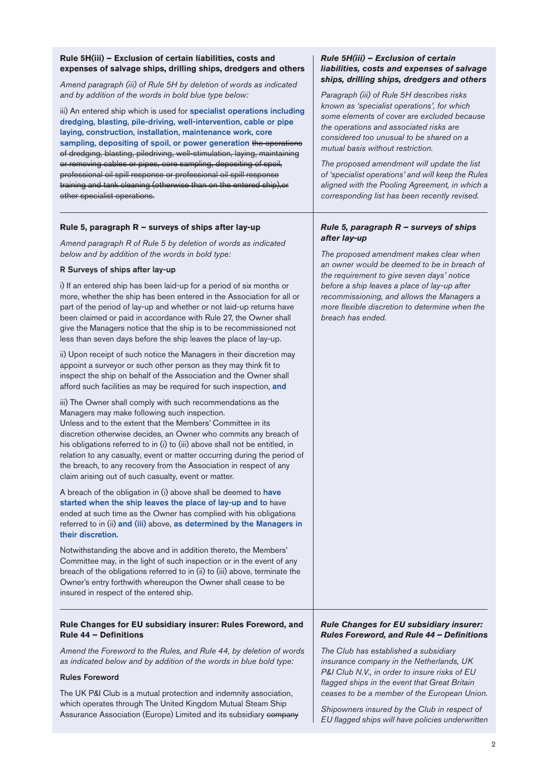#### **Rule 5H(iii) – Exclusion of certain liabilities, costs and expenses of salvage ships, drilling ships, dredgers and others**

*Amend paragraph (iii) of Rule 5H by deletion of words as indicated and by addition of the words in bold blue type below:*

iii) An entered ship which is used for **specialist operations including** dredging, blasting, pile-driving, well-intervention, cable or pipe laying, construction, installation, maintenance work, core sampling, depositing of spoil, or power generation the operations of dredging, blasting, piledriving, well-stimulation, laying, maintaining or removing cables or pipes, core sampling, depositing of spoil, professional oil spill response or professional oil spill response training and tank cleaning (otherwise than on the entered ship),or other specialist operations.

#### **Rule 5, paragraph R – surveys of ships after lay-up**

*Amend paragraph R of Rule 5 by deletion of words as indicated below and by addition of the words in bold type:*

#### R Surveys of ships after lay-up

i) If an entered ship has been laid-up for a period of six months or more, whether the ship has been entered in the Association for all or part of the period of lay-up and whether or not laid-up returns have been claimed or paid in accordance with Rule 27, the Owner shall give the Managers notice that the ship is to be recommissioned not less than seven days before the ship leaves the place of lay-up.

ii) Upon receipt of such notice the Managers in their discretion may appoint a surveyor or such other person as they may think fit to inspect the ship on behalf of the Association and the Owner shall afford such facilities as may be required for such inspection, and

iii) The Owner shall comply with such recommendations as the Managers may make following such inspection.

Unless and to the extent that the Members' Committee in its discretion otherwise decides, an Owner who commits any breach of his obligations referred to in (i) to (iii) above shall not be entitled, in relation to any casualty, event or matter occurring during the period of the breach, to any recovery from the Association in respect of any claim arising out of such casualty, event or matter.

A breach of the obligation in (i) above shall be deemed to have started when the ship leaves the place of lay-up and to have ended at such time as the Owner has complied with his obligations referred to in (ii) and (iii) above, as determined by the Managers in their discretion.

Notwithstanding the above and in addition thereto, the Members' Committee may, in the light of such inspection or in the event of any breach of the obligations referred to in (ii) to (iii) above, terminate the Owner's entry forthwith whereupon the Owner shall cease to be insured in respect of the entered ship.

## **Rule Changes for EU subsidiary insurer: Rules Foreword, and Rule 44 – Definitions**

*Amend the Foreword to the Rules, and Rule 44, by deletion of words as indicated below and by addition of the words in blue bold type:*

#### Rules Foreword

The UK P&I Club is a mutual protection and indemnity association, which operates through The United Kingdom Mutual Steam Ship Assurance Association (Europe) Limited and its subsidiary company

#### *Rule 5H(iii) – Exclusion of certain liabilities, costs and expenses of salvage ships, drilling ships, dredgers and others*

*Paragraph (iii) of Rule 5H describes risks known as 'specialist operations', for which some elements of cover are excluded because the operations and associated risks are considered too unusual to be shared on a mutual basis without restriction.*

*The proposed amendment will update the list of 'specialist operations' and will keep the Rules aligned with the Pooling Agreement, in which a corresponding list has been recently revised.*

#### *Rule 5, paragraph R – surveys of ships after lay-up*

*The proposed amendment makes clear when an owner would be deemed to be in breach of the requirement to give seven days' notice before a ship leaves a place of lay-up after recommissioning, and allows the Managers a more flexible discretion to determine when the breach has ended.*

#### *Rule Changes for EU subsidiary insurer: Rules Foreword, and Rule 44 – Definitions*

*The Club has established a subsidiary insurance company in the Netherlands, UK P&I Club N.V., in order to insure risks of EU flagged ships in the event that Great Britain ceases to be a member of the European Union.*

*Shipowners insured by the Club in respect of EU flagged ships will have policies underwritten*